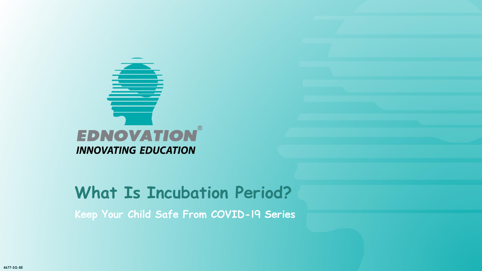

**Keep Your Child Safe From COVID-19 Series**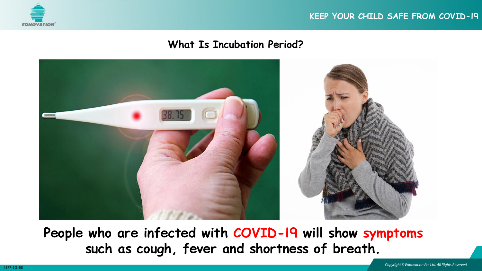



**People who are infected with COVID-19 will show symptoms such as cough, fever and shortness of breath.**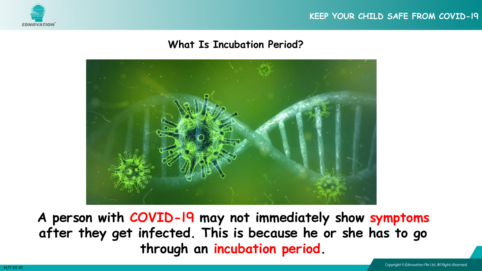





**A person with COVID-19 may not immediately show symptoms after they get infected. This is because he or she has to go through an incubation period.**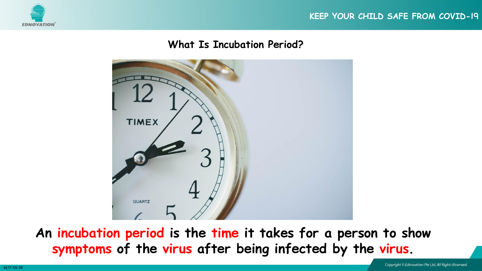



**An incubation period is the time it takes for a person to show symptoms of the virus after being infected by the virus.**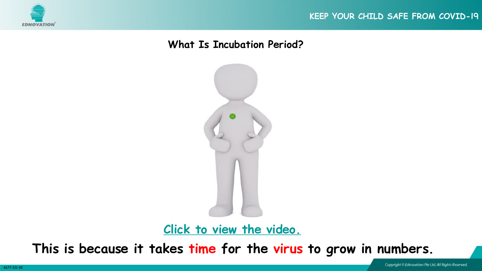



**[Click to view the video.](https://youtu.be/FvpfYQPKSXE)**

**This is because it takes time for the virus to grow in numbers.**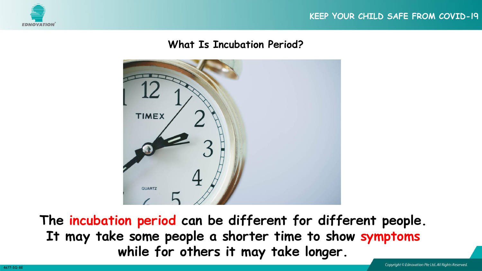





**The incubation period can be different for different people. It may take some people a shorter time to show symptoms while for others it may take longer.**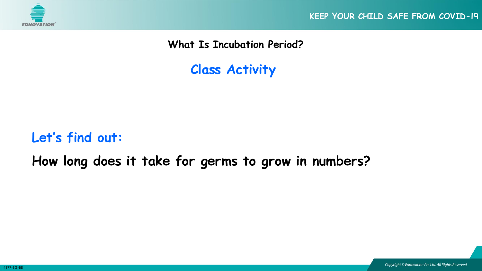

**KEEP YOUR CHILD SAFE FROM COVID-19**

**What Is Incubation Period?**

**Class Activity**

## **Let's find out:**

**How long does it take for germs to grow in numbers?**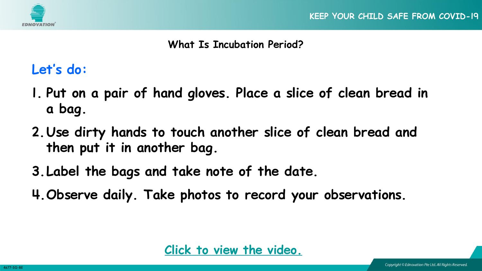



### **Let's do:**

- **1. Put on a pair of hand gloves. Place a slice of clean bread in a bag.**
- **2.Use dirty hands to touch another slice of clean bread and then put it in another bag.**
- **3.Label the bags and take note of the date.**
- **4.Observe daily. Take photos to record your observations.**